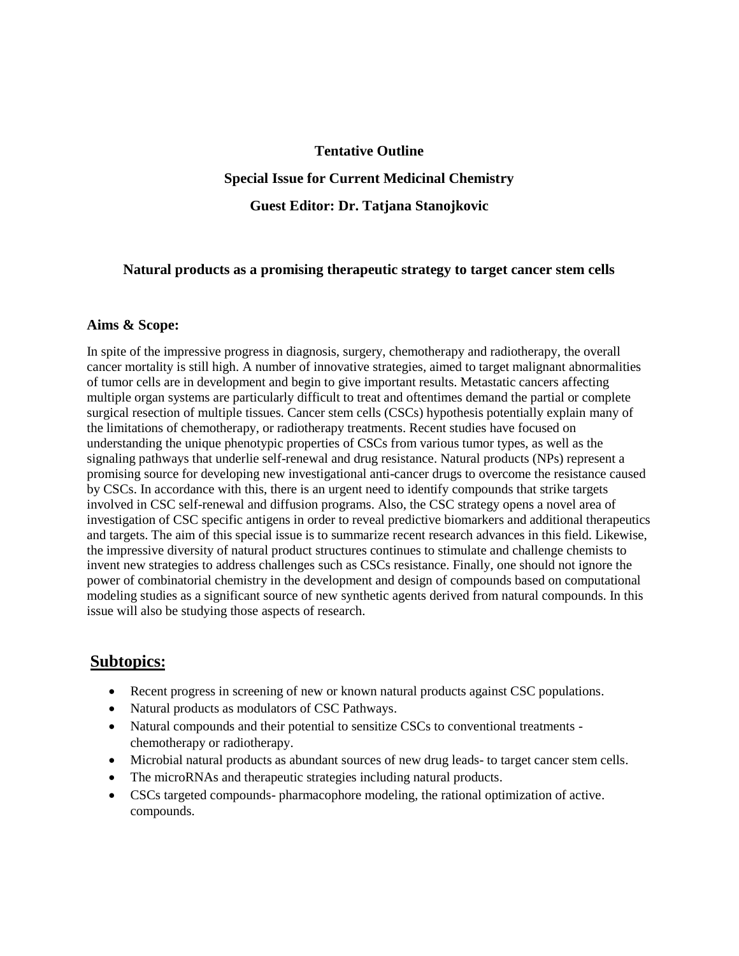#### **Tentative Outline**

### **Special Issue for Current Medicinal Chemistry**

### **Guest Editor: Dr. Tatjana Stanojkovic**

#### **Natural products as a promising therapeutic strategy to target cancer stem cells**

#### **Aims & Scope:**

In spite of the impressive progress in diagnosis, surgery, chemotherapy and radiotherapy, the overall cancer mortality is still high. A number of innovative strategies, aimed to target malignant abnormalities of tumor cells are in development and begin to give important results. Metastatic cancers affecting multiple organ systems are particularly difficult to treat and oftentimes demand the partial or complete surgical resection of multiple tissues. Cancer stem cells (CSCs) hypothesis potentially explain many of the limitations of chemotherapy, or radiotherapy treatments. Recent studies have focused on understanding the unique phenotypic properties of CSCs from various tumor types, as well as the signaling pathways that underlie self-renewal and drug resistance. Natural products (NPs) represent a promising source for developing new investigational anti-cancer drugs to overcome the resistance caused by CSCs. In accordance with this, there is an urgent need to identify compounds that strike targets involved in CSC self-renewal and diffusion programs. Also, the CSC strategy opens a novel area of investigation of CSC specific antigens in order to reveal predictive biomarkers and additional therapeutics and targets. The aim of this special issue is to summarize recent research advances in this field. Likewise, the impressive diversity of natural product structures continues to stimulate and challenge chemists to invent new strategies to address challenges such as CSCs resistance. Finally, one should not ignore the power of combinatorial chemistry in the development and design of compounds based on computational modeling studies as a significant source of new synthetic agents derived from natural compounds. In this issue will also be studying those aspects of research.

## **Subtopics:**

- Recent progress in screening of new or known natural products against CSC populations.
- Natural products as modulators of CSC Pathways.
- Natural compounds and their potential to sensitize CSCs to conventional treatments chemotherapy or radiotherapy.
- Microbial natural products as abundant sources of new drug leads- to target cancer stem cells.
- The microRNAs and therapeutic strategies including natural products.
- CSCs targeted compounds- pharmacophore modeling, the rational optimization of active. compounds.